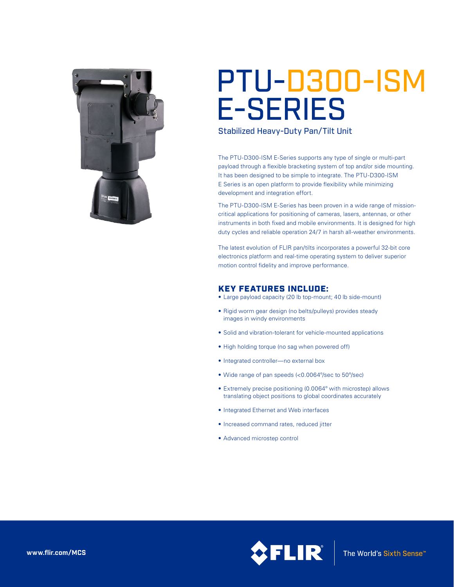

# PTU-D300-ISM E-SERIES

Stabilized Heavy-Duty Pan/Tilt Unit

The PTU-D300-ISM E-Series supports any type of single or multi-part payload through a flexible bracketing system of top and/or side mounting. It has been designed to be simple to integrate. The PTU-D300-ISM E Series is an open platform to provide flexibility while minimizing development and integration effort.

The PTU-D300-ISM E-Series has been proven in a wide range of missioncritical applications for positioning of cameras, lasers, antennas, or other instruments in both fixed and mobile environments. It is designed for high duty cycles and reliable operation 24/7 in harsh all-weather environments.

The latest evolution of FLIR pan/tilts incorporates a powerful 32-bit core electronics platform and real-time operating system to deliver superior motion control fidelity and improve performance.

### KEY FEATURES INCLUDE:

- • Large payload capacity (20 lb top-mount; 40 lb side-mount)
- Rigid worm gear design (no belts/pulleys) provides steady images in windy environments
- Solid and vibration-tolerant for vehicle-mounted applications
- High holding torque (no sag when powered off)
- Integrated controller—no external box
- • Wide range of pan speeds (<0.0064º/sec to 50º/sec)
- Extremely precise positioning (0.0064° with microstep) allows translating object positions to global coordinates accurately
- • Integrated Ethernet and Web interfaces
- • Increased command rates, reduced jitter
- • Advanced microstep control